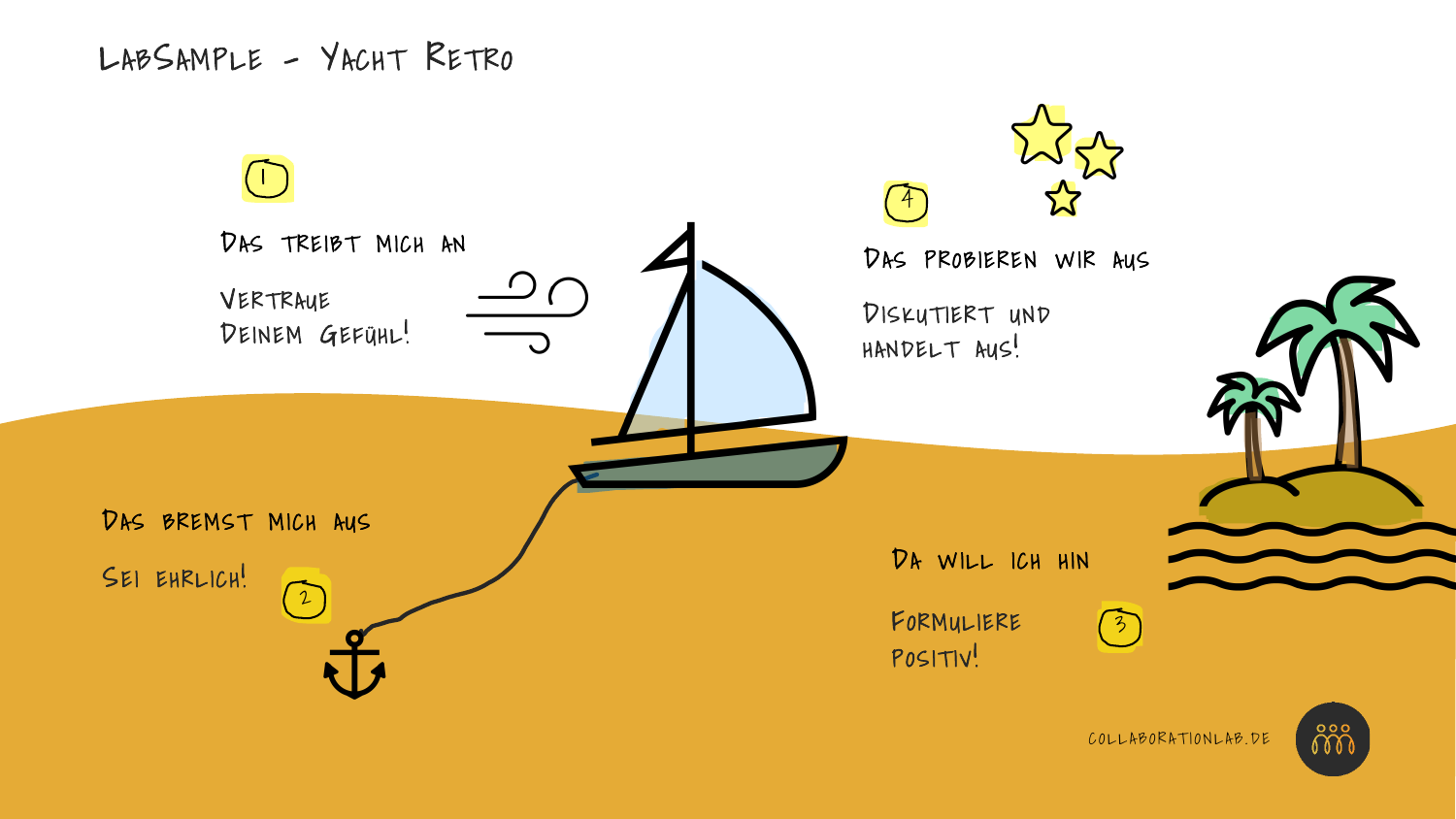LABSAMPLE - YACHT RETRO

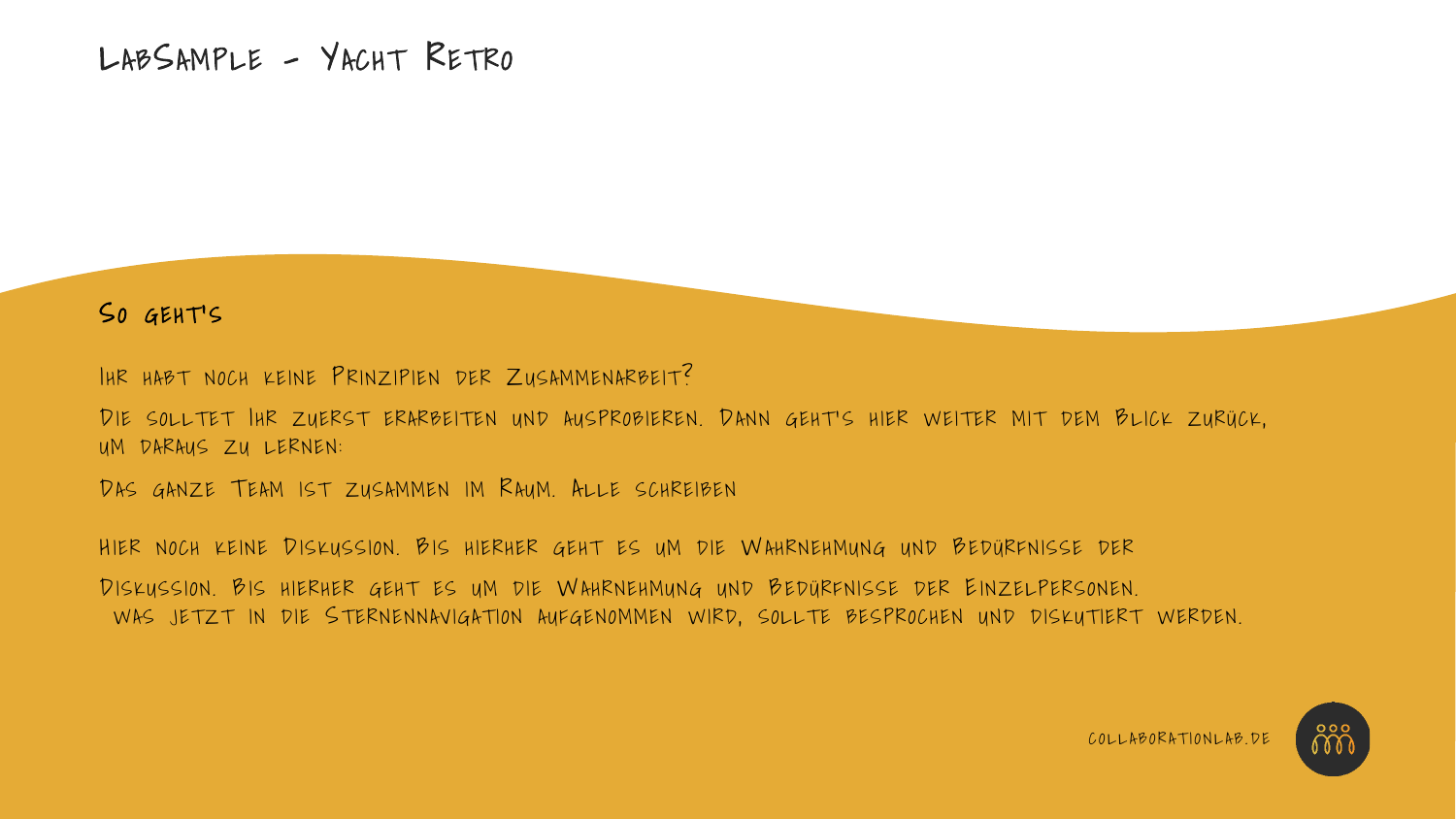## SO GEHT'S

IHR HABT NOCH KEINE PRINZIPIEN DER ZUSAMMENARBEIT?

DIE SOLLTET IHR ZUERST ERARBEITEN UND AUSPROBIEREN. DANN GEHT'S HIER WEITER MIT DEM BLICK ZURÜCK, UM DARAUS ZU LERNEN:

DAS GANZE TEAM IST ZUSAMMEN IM RAUM. ALLE SCHREIBEN

HIER NOCH KEINE DISKUSSION. BIS HIERHER GEHT ES UM DIE WAHRNEHMUNG UND BEDÜRFNISSE DER

DISKUSSION. BIS HIERHER GEHT ES UM DIE WAHRNEHMUNG UND BEDÜRFNISSE DER EINZELPERSONEN. WAS JETZT IN DIE STERNENNAVIGATION AUFGENOMMEN WIRD, SOLLTE BESPROCHEN UND DISKUTIERT WERDEN.